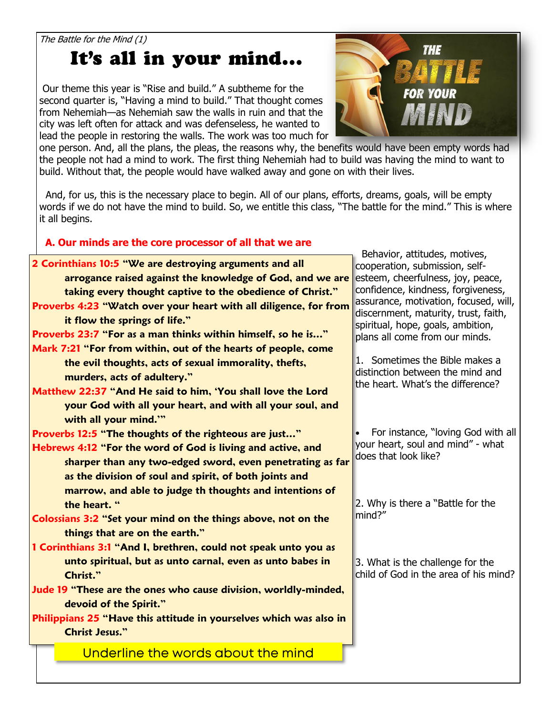The Battle for the Mind (1)

## It's all in your mind...

Our theme this year is "Rise and build." A subtheme for the second quarter is, "Having a mind to build." That thought comes from Nehemiah—as Nehemiah saw the walls in ruin and that the city was left often for attack and was defenseless, he wanted to lead the people in restoring the walls. The work was too much for



one person. And, all the plans, the pleas, the reasons why, the benefits would have been empty words had the people not had a mind to work. The first thing Nehemiah had to build was having the mind to want to build. Without that, the people would have walked away and gone on with their lives.

 And, for us, this is the necessary place to begin. All of our plans, efforts, dreams, goals, will be empty words if we do not have the mind to build. So, we entitle this class, "The battle for the mind." This is where it all begins.

## **A. Our minds are the core processor of all that we are**

|                                                                    | Behavior, attitudes, motives,                                       |
|--------------------------------------------------------------------|---------------------------------------------------------------------|
| 2 Corinthians 10:5 "We are destroying arguments and all            | cooperation, submission, self-                                      |
| arrogance raised against the knowledge of God, and we are          | esteem, cheerfulness, joy, peace,                                   |
| taking every thought captive to the obedience of Christ."          | confidence, kindness, forgiveness,                                  |
| Proverbs 4:23 "Watch over your heart with all diligence, for from  | assurance, motivation, focused, will,                               |
| it flow the springs of life."                                      | discernment, maturity, trust, faith,                                |
| Proverbs 23:7 "For as a man thinks within himself, so he is"       | spiritual, hope, goals, ambition,<br>plans all come from our minds. |
| Mark 7:21 "For from within, out of the hearts of people, come      |                                                                     |
| the evil thoughts, acts of sexual immorality, thefts,              | 1. Sometimes the Bible makes a                                      |
|                                                                    | distinction between the mind and                                    |
| murders, acts of adultery."                                        | the heart. What's the difference?                                   |
| Matthew 22:37 "And He said to him, 'You shall love the Lord        |                                                                     |
| your God with all your heart, and with all your soul, and          |                                                                     |
| with all your mind.""                                              |                                                                     |
| Proverbs 12:5 "The thoughts of the righteous are just"             | For instance, "loving God with all                                  |
| Hebrews 4:12 "For the word of God is living and active, and        | your heart, soul and mind" - what<br>does that look like?           |
| sharper than any two-edged sword, even penetrating as far          |                                                                     |
| as the division of soul and spirit, of both joints and             |                                                                     |
| marrow, and able to judge th thoughts and intentions of            |                                                                     |
| the heart. "                                                       | 2. Why is there a "Battle for the                                   |
| Colossians 3:2 "Set your mind on the things above, not on the      | mind?"                                                              |
| things that are on the earth."                                     |                                                                     |
| 1 Corinthians 3:1 "And I, brethren, could not speak unto you as    |                                                                     |
| unto spiritual, but as unto carnal, even as unto babes in          | 3. What is the challenge for the                                    |
| Christ."                                                           | child of God in the area of his mind?                               |
| Jude 19 "These are the ones who cause division, worldly-minded,    |                                                                     |
|                                                                    |                                                                     |
| devoid of the Spirit."                                             |                                                                     |
| Philippians 25 "Have this attitude in yourselves which was also in |                                                                     |
| <b>Christ Jesus."</b>                                              |                                                                     |
| Underline the words about the mind                                 |                                                                     |